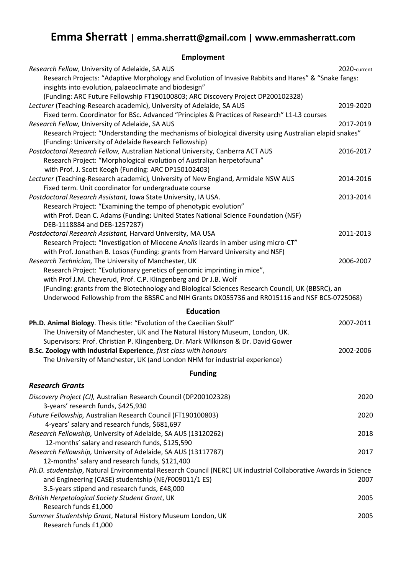# **Emma Sherratt | emma.sherratt@gmail.com | www.emmasherratt.com**

**Employment** 

| Research Fellow, University of Adelaide, SA AUS<br>Research Projects: "Adaptive Morphology and Evolution of Invasive Rabbits and Hares" & "Snake fangs:<br>insights into evolution, palaeoclimate and biodesign"                                                                                                                                                                                           | 2020-current |
|------------------------------------------------------------------------------------------------------------------------------------------------------------------------------------------------------------------------------------------------------------------------------------------------------------------------------------------------------------------------------------------------------------|--------------|
| (Funding: ARC Future Fellowship FT190100803; ARC Discovery Project DP200102328)<br>Lecturer (Teaching-Research academic), University of Adelaide, SA AUS<br>Fixed term. Coordinator for BSc. Advanced "Principles & Practices of Research" L1-L3 courses                                                                                                                                                   | 2019-2020    |
| Research Fellow, University of Adelaide, SA AUS<br>Research Project: "Understanding the mechanisms of biological diversity using Australian elapid snakes"                                                                                                                                                                                                                                                 | 2017-2019    |
| (Funding: University of Adelaide Research Fellowship)<br>Postdoctoral Research Fellow, Australian National University, Canberra ACT AUS<br>Research Project: "Morphological evolution of Australian herpetofauna"<br>with Prof. J. Scott Keogh (Funding: ARC DP150102403)                                                                                                                                  | 2016-2017    |
| Lecturer (Teaching-Research academic), University of New England, Armidale NSW AUS<br>Fixed term. Unit coordinator for undergraduate course                                                                                                                                                                                                                                                                | 2014-2016    |
| Postdoctoral Research Assistant, Iowa State University, IA USA.<br>Research Project: "Examining the tempo of phenotypic evolution"<br>with Prof. Dean C. Adams (Funding: United States National Science Foundation (NSF)<br>DEB-1118884 and DEB-1257287)                                                                                                                                                   | 2013-2014    |
| Postdoctoral Research Assistant, Harvard University, MA USA<br>Research Project: "Investigation of Miocene Anolis lizards in amber using micro-CT"<br>with Prof. Jonathan B. Losos (Funding: grants from Harvard University and NSF)                                                                                                                                                                       | 2011-2013    |
| Research Technician, The University of Manchester, UK<br>Research Project: "Evolutionary genetics of genomic imprinting in mice",<br>with Prof J.M. Cheverud, Prof. C.P. Klingenberg and Dr J.B. Wolf<br>(Funding: grants from the Biotechnology and Biological Sciences Research Council, UK (BBSRC), an<br>Underwood Fellowship from the BBSRC and NIH Grants DK055736 and RR015116 and NSF BCS-0725068) | 2006-2007    |
| <b>Education</b>                                                                                                                                                                                                                                                                                                                                                                                           |              |
| Ph.D. Animal Biology. Thesis title: "Evolution of the Caecilian Skull"<br>The University of Manchester, UK and The Natural History Museum, London, UK.<br>Supervisors: Prof. Christian P. Klingenberg, Dr. Mark Wilkinson & Dr. David Gower                                                                                                                                                                | 2007-2011    |
| B.Sc. Zoology with Industrial Experience, first class with honours<br>The University of Manchester, UK (and London NHM for industrial experience)                                                                                                                                                                                                                                                          | 2002-2006    |
| <b>Funding</b>                                                                                                                                                                                                                                                                                                                                                                                             |              |
| <b>Research Grants</b>                                                                                                                                                                                                                                                                                                                                                                                     |              |
| Discovery Project (CI), Australian Research Council (DP200102328)<br>3-years' research funds, \$425,930                                                                                                                                                                                                                                                                                                    | 2020         |
| Future Fellowship, Australian Research Council (FT190100803)<br>4-years' salary and research funds, \$681,697                                                                                                                                                                                                                                                                                              | 2020         |
| Research Fellowship, University of Adelaide, SA AUS (13120262)<br>12-months' salary and research funds, \$125,590                                                                                                                                                                                                                                                                                          | 2018         |
| Research Fellowship, University of Adelaide, SA AUS (13117787)<br>12-months' salary and research funds, \$121,400                                                                                                                                                                                                                                                                                          | 2017         |
| Ph.D. studentship, Natural Environmental Research Council (NERC) UK industrial Collaborative Awards in Science<br>and Engineering (CASE) studentship (NE/F009011/1 ES)<br>3.5-years stipend and research funds, £48,000                                                                                                                                                                                    | 2007         |
| British Herpetological Society Student Grant, UK<br>Research funds £1,000                                                                                                                                                                                                                                                                                                                                  | 2005         |
| Summer Studentship Grant, Natural History Museum London, UK<br>Research funds £1,000                                                                                                                                                                                                                                                                                                                       | 2005         |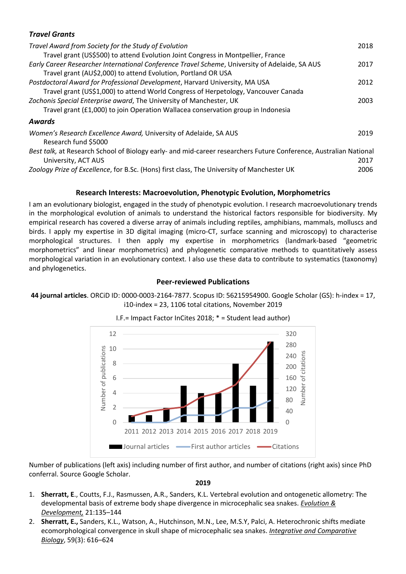## *Travel Grants*

| Travel Award from Society for the Study of Evolution                                                              | 2018 |
|-------------------------------------------------------------------------------------------------------------------|------|
| Travel grant (US\$500) to attend Evolution Joint Congress in Montpellier, France                                  |      |
| Early Career Researcher International Conference Travel Scheme, University of Adelaide, SA AUS                    | 2017 |
| Travel grant (AU\$2,000) to attend Evolution, Portland OR USA                                                     |      |
| Postdoctoral Award for Professional Development, Harvard University, MA USA                                       | 2012 |
| Travel grant (US\$1,000) to attend World Congress of Herpetology, Vancouver Canada                                |      |
| Zochonis Special Enterprise award, The University of Manchester, UK                                               | 2003 |
| Travel grant (£1,000) to join Operation Wallacea conservation group in Indonesia                                  |      |
| <b>Awards</b>                                                                                                     |      |
| Women's Research Excellence Award, University of Adelaide, SA AUS                                                 | 2019 |
| Research fund \$5000                                                                                              |      |
| Best talk, at Research School of Biology early- and mid-career researchers Future Conference, Australian National |      |
| University, ACT AUS                                                                                               | 2017 |
| Zoology Prize of Excellence, for B.Sc. (Hons) first class, The University of Manchester UK                        | 2006 |

#### **Research Interests: Macroevolution, Phenotypic Evolution, Morphometrics**

I am an evolutionary biologist, engaged in the study of phenotypic evolution. I research macroevolutionary trends in the morphological evolution of animals to understand the historical factors responsible for biodiversity. My empirical research has covered a diverse array of animals including reptiles, amphibians, mammals, molluscs and birds. I apply my expertise in 3D digital imaging (micro-CT, surface scanning and microscopy) to characterise morphological structures. I then apply my expertise in morphometrics (landmark-based "geometric morphometrics" and linear morphometrics) and phylogenetic comparative methods to quantitatively assess morphological variation in an evolutionary context. I also use these data to contribute to systematics (taxonomy) and phylogenetics.

#### **Peer-reviewed Publications**

#### **44 journal articles**. ORCiD ID: 0000-0003-2164-7877. Scopus ID: 56215954900. Google Scholar (GS): h-index = 17, i10-index = 23, 1106 total citations, November 2019



I.F.= Impact Factor InCites 2018; \* = Student lead author)

Number of publications (left axis) including number of first author, and number of citations (right axis) since PhD conferral. Source Google Scholar.

**2019**

- 1. **Sherratt, E**., Coutts, F.J., Rasmussen, A.R., Sanders, K.L. Vertebral evolution and ontogenetic allometry: The developmental basis of extreme body shape divergence in microcephalic sea snakes. *Evolution & Development,* 21:135–144
- 2. **Sherratt, E.,** Sanders, K.L., Watson, A., Hutchinson, M.N., Lee, M.S.Y, Palci, A. Heterochronic shifts mediate ecomorphological convergence in skull shape of microcephalic sea snakes. *Integrative and Comparative Biology*, 59(3): 616–624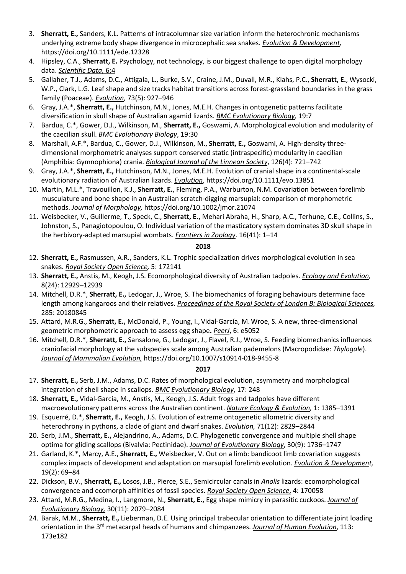- 3. **Sherratt, E.,** Sanders, K.L. Patterns of intracolumnar size variation inform the heterochronic mechanisms underlying extreme body shape divergence in microcephalic sea snakes. *Evolution & Development,* https://doi.org/10.1111/ede.12328
- 4. Hipsley, C.A., **Sherratt, E.** Psychology, not technology, is our biggest challenge to open digital morphology data. *Scientific Data,* 6:4
- 5. Gallaher, T.J., Adams, D.C., Attigala, L., Burke, S.V., Craine, J.M., Duvall, M.R., Klahs, P.C., **Sherratt, E.**, Wysocki, W.P., Clark, L.G. Leaf shape and size tracks habitat transitions across forest-grassland boundaries in the grass family (Poaceae). *Evolution*, 73(5): 927–946
- 6. Gray, J.A.\*, **Sherratt, E.,** Hutchinson, M.N., Jones, M.E.H. Changes in ontogenetic patterns facilitate diversification in skull shape of Australian agamid lizards. *BMC Evolutionary Biology,* 19:7
- 7. Bardua, C.\*, Gower, D.J., Wilkinson, M., **Sherratt, E.,** Goswami, A. Morphological evolution and modularity of the caecilian skull. *BMC Evolutionary Biology*, 19:30
- 8. Marshall, A.F.\*, Bardua, C., Gower, D.J., Wilkinson, M., **Sherratt, E.,** Goswami, A. High-density threedimensional morphometric analyses support conserved static (intraspecific) modularity in caecilian (Amphibia: Gymnophiona) crania. *Biological Journal of the Linnean Society*, 126(4): 721–742
- 9. Gray, J.A.\*, **Sherratt, E.,** Hutchinson, M.N., Jones, M.E.H. Evolution of cranial shape in a continental-scale evolutionary radiation of Australian lizards. *Evolution*, https://doi.org/10.1111/evo.13851
- 10. Martin, M.L.\*, Travouillon, K.J., **Sherratt, E.**, Fleming, P.A., Warburton, N.M. Covariation between forelimb musculature and bone shape in an Australian scratch-digging marsupial: comparison of morphometric methods. *Journal of Morphology,* https://doi.org/10.1002/jmor.21074
- 11. Weisbecker, V., Guillerme, T., Speck, C., **Sherratt, E.,** Mehari Abraha, H., Sharp, A.C., Terhune, C.E., Collins, S., Johnston, S., Panagiotopoulou, O. Individual variation of the masticatory system dominates 3D skull shape in the herbivory-adapted marsupial wombats. *Frontiers in Zoology*. 16(41): 1–14

#### **2018**

- 12. **Sherratt, E.,** Rasmussen, A.R., Sanders, K.L. Trophic specialization drives morphological evolution in sea snakes. *Royal Society Open Science,* 5: 172141
- 13. **Sherratt, E.,** Anstis, M., Keogh, J.S. Ecomorphological diversity of Australian tadpoles. *Ecology and Evolution,*  8(24): 12929–12939
- 14. Mitchell, D.R.\*, **Sherratt, E.,** Ledogar, J., Wroe, S. The biomechanics of foraging behaviours determine face length among kangaroos and their relatives. *Proceedings of the Royal Society of London B: Biological Sciences,*  285: 20180845
- 15. Attard, M.R.G., **Sherratt, E.,** McDonald, P., Young, I.,Vidal-García, M.Wroe, S. A new, three-dimensional geometric morphometric approach to assess egg shape**.** *PeerJ*, 6: e5052
- 16. Mitchell, D.R.\*, **Sherratt, E.,** Sansalone, G., Ledogar, J., Flavel, R.J., Wroe, S. Feeding biomechanics influences craniofacial morphology at the subspecies scale among Australian pademelons (Macropodidae: *Thylogale*). *Journal of Mammalian Evolution,* https://doi.org/10.1007/s10914-018-9455-8

### **2017**

- 17. **Sherratt, E.,** Serb, J.M., Adams, D.C. Rates of morphological evolution, asymmetry and morphological integration of shell shape in scallops. *BMC Evolutionary Biology*, 17: 248
- 18. **Sherratt, E.,** Vidal-García, M., Anstis, M., Keogh, J.S. Adult frogs and tadpoles have different macroevolutionary patterns across the Australian continent. *Nature Ecology & Evolution,* 1: 1385–1391
- 19. Esquerré, D.\*, **Sherratt, E.,** Keogh, J.S. Evolution of extreme ontogenetic allometric diversity and heterochrony in pythons, a clade of giant and dwarf snakes. *Evolution,* 71(12): 2829–2844
- 20. Serb, J.M., **Sherratt, E.,** Alejandrino, A., Adams, D.C. Phylogenetic convergence and multiple shell shape optima for gliding scallops (Bivalvia: Pectinidae). *Journal of Evolutionary Biology*, 30(9): 1736–1747
- 21. Garland, K.\*, Marcy, A.E., **Sherratt, E.,** Weisbecker, V. Out on a limb: bandicoot limb covariation suggests complex impacts of development and adaptation on marsupial forelimb evolution. *Evolution & Development,*  19(2): 69–84
- 22. Dickson, B.V., **Sherratt, E.,** Losos, J.B., Pierce, S.E., Semicircular canals in *Anolis* lizards: ecomorphological convergence and ecomorph affinities of fossil species. *Royal Society Open Science*, 4: 170058
- 23. Attard, M.R.G., Medina, I., Langmore, N., **Sherratt, E.,** Egg shape mimicry in parasitic cuckoos. *Journal of Evolutionary Biology,* 30(11): 2079–2084
- 24. Barak, M.M., **Sherratt, E.,** Lieberman, D.E. Using principal trabecular orientation to differentiate joint loading orientation in the 3rd metacarpal heads of humans and chimpanzees. *Journal of Human Evolution*, 113: 173e182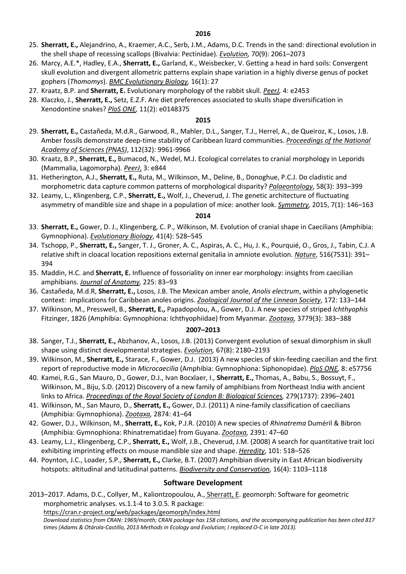- 25. **Sherratt, E.,** Alejandrino, A., Kraemer, A.C., Serb, J.M., Adams, D.C. Trends in the sand: directional evolution in the shell shape of recessing scallops (Bivalvia: Pectinidae). *Evolution,* 70(9): 2061–2073
- 26. Marcy, A.E.\*, Hadley, E.A., **Sherratt, E.,** Garland, K., Weisbecker, V. Getting a head in hard soils: Convergent skull evolution and divergent allometric patterns explain shape variation in a highly diverse genus of pocket gophers (*Thomomys*). *BMC Evolutionary Biology,* 16(1): 27
- 27. Kraatz, B.P. and **Sherratt, E.** Evolutionary morphology of the rabbit skull. *PeerJ,* 4: e2453
- 28. Klaczko, J., **Sherratt, E.,** Setz, E.Z.F. Are diet preferences associated to skulls shape diversification in Xenodontine snakes? *PloS ONE,* 11(2): e0148375

#### **2015**

- 29. **Sherratt, E.,** Castañeda, M.d.R., Garwood, R., Mahler, D.L., Sanger, T.J., Herrel, A., de Queiroz, K., Losos, J.B. Amber fossils demonstrate deep-time stability of Caribbean lizard communities. *Proceedings of the National Academy of Sciences (PNAS)*, 112(32): 9961-9966
- 30. Kraatz, B.P., **Sherratt, E.,** Bumacod, N., Wedel, M.J. Ecological correlates to cranial morphology in Leporids (Mammalia, Lagomorpha). *PeerJ*, 3: e844
- 31. Hetherington, A.J., **Sherratt, E.,** Ruta, M., Wilkinson, M., Deline, B., Donoghue, P.C.J. Do cladistic and morphometric data capture common patterns of morphological disparity? *Palaeontology*, 58(3): 393–399
- 32. Leamy, L., Klingenberg, C.P., **Sherratt, E.,** Wolf, J., Cheverud, J. The genetic architecture of fluctuating asymmetry of mandible size and shape in a population of mice: another look. *Symmetry,* 2015, 7(1): 146–163

#### **2014**

- 33. **Sherratt, E.,** Gower, D. J., Klingenberg, C. P., Wilkinson, M. Evolution of cranial shape in Caecilians (Amphibia: Gymnophiona). *Evolutionary Biology*, 41(4): 528–545
- 34. Tschopp, P., **Sherratt, E.,** Sanger, T. J., Groner, A. C., Aspiras, A. C., Hu, J. K., Pourquié, O., Gros, J., Tabin, C.J. A relative shift in cloacal location repositions external genitalia in amniote evolution. *Nature*, 516(7531): 391– 394
- 35. Maddin, H.C. and **Sherratt, E.** Influence of fossoriality on inner ear morphology: insights from caecilian amphibians. *Journal of Anatomy,* 225: 83–93
- 36. Castañeda, M.d.R, **Sherratt, E.,** Losos, J.B. The Mexican amber anole, *Anolis electrum*, within a phylogenetic context: implications for Caribbean anoles origins. *Zoological Journal of the Linnean Society*, 172: 133–144
- 37. Wilkinson, M., Presswell, B., **Sherratt, E.,** Papadopolou, A., Gower, D.J. A new species of striped *Ichthyophis* Fitzinger, 1826 (Amphibia: Gymnophiona: Ichthyophiidae) from Myanmar*. Zootaxa,* 3779(3): 383–388

#### **2007–2013**

- 38. Sanger, T.J., **Sherratt, E.,** Abzhanov, A., Losos, J.B. (2013) Convergent evolution of sexual dimorphism in skull shape using distinct developmental strategies. *Evolution,* 67(8): 2180–2193
- 39. Wilkinson, M., **Sherratt, E.,** Starace, F., Gower, D.J. (2013) A new species of skin-feeding caecilian and the first report of reproductive mode in *Microcaecilia* (Amphibia: Gymnophiona: Siphonopidae). *PloS ONE,* 8: e57756
- 40. Kamei, R.G., San Mauro, D., Gower, D.J., Ivan Bocxlaer, I., **Sherratt, E.,** Thomas, A., Babu, S., Bossuyt, F., Wilkinson, M., Biju, S.D. (2012) Discovery of a new family of amphibians from Northeast India with ancient links to Africa. *Proceedings of the Royal Society of London B: Biological Sciences,* 279(1737): 2396–2401
- 41. Wilkinson, M., San Mauro, D., **Sherratt, E.,** Gower, D.J. (2011) A nine-family classification of caecilians (Amphibia: Gymnophiona). *Zootaxa,* 2874: 41–64
- 42. Gower, D.J., Wilkinson, M., **Sherratt, E.,** Kok, P.J.R. (2010) A new species of *Rhinatrema* Duméril & Bibron (Amphibia: Gymnophiona: Rhinatrematidae) from Guyana. *Zootaxa,* 2391: 47–60
- 43. Leamy, L.J., Klingenberg, C.P., **Sherratt, E.,** Wolf, J.B., Cheverud, J.M. (2008) A search for quantitative trait loci exhibiting imprinting effects on mouse mandible size and shape. *Heredity*, 101: 518–526
- 44. Poynton, J.C., Loader, S.P., **Sherratt, E.,** Clarke, B.T. (2007) Amphibian diversity in East African biodiversity hotspots: altitudinal and latitudinal patterns. *Biodiversity and Conservation,* 16(4): 1103–1118

### **Software Development**

2013–2017. Adams, D.C., Collyer, M., Kaliontzopoulou, A., Sherratt, E. geomorph: Software for geometric morphometric analyses. vs.1.1-4 to 3.0.5. R package:

https://cran.r-project.org/web/packages/geomorph/index.html

*Download statistics from CRAN: 1969/month; CRAN package has 158 citations, and the accompanying publication has been cited 817 times (Adams & Otárola-Castillo, 2013 Methods in Ecology and Evolution; I replaced O-C in late 2013).*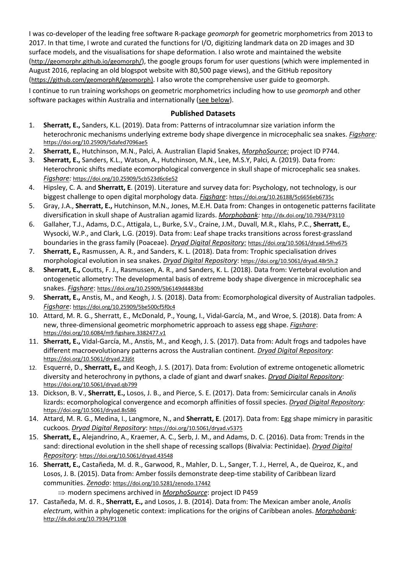I was co-developer of the leading free software R-package *geomorph* for geometric morphometrics from 2013 to 2017. In that time, I wrote and curated the functions for I/O, digitizing landmark data on 2D images and 3D surface models, and the visualisations for shape deformation. I also wrote and maintained the website (http://geomorphr.github.io/geomorph/), the google groups forum for user questions (which were implemented in August 2016, replacing an old blogspot website with 80,500 page views), and the GitHub repository (https://github.com/geomorphR/geomorph). I also wrote the comprehensive user guide to geomorph.

I continue to run training workshops on geometric morphometrics including how to use *geomorph* and other software packages within Australia and internationally (see below).

## **Published Datasets**

- 1. **Sherratt, E.,** Sanders, K.L. (2019). Data from: Patterns of intracolumnar size variation inform the heterochronic mechanisms underlying extreme body shape divergence in microcephalic sea snakes. *Figshare:* https://doi.org/10.25909/5dafed7096ae5
- 2. **Sherratt, E.**, Hutchinson, M.N., Palci, A. Australian Elapid Snakes, *MorphoSource:* project ID P744.
- 3. **Sherratt, E.,** Sanders, K.L., Watson, A., Hutchinson, M.N., Lee, M.S.Y, Palci, A. (2019). Data from: Heterochronic shifts mediate ecomorphological convergence in skull shape of microcephalic sea snakes. *Figshare:* https://doi.org/10.25909/5cb523d6c6e52
- 4. Hipsley, C. A. and **Sherratt, E**. (2019). Literature and survey data for: Psychology, not technology, is our biggest challenge to open digital morphology data. *Figshare*: https://doi.org/10.26188/5c6656eb6735c
- 5. Gray, J.A., **Sherratt, E.,** Hutchinson, M.N., Jones, M.E.H. Data from: Changes in ontogenetic patterns facilitate diversification in skull shape of Australian agamid lizards. *Morphobank:* http://dx.doi.org/10.7934/P3110
- 6. Gallaher, T.J., Adams, D.C., Attigala, L., Burke, S.V., Craine, J.M., Duvall, M.R., Klahs, P.C., **Sherratt, E.**, Wysocki, W.P., and Clark, L.G. (2019). Data from: Leaf shape tracks transitions across forest-grassland boundaries in the grass family (Poaceae). *Dryad Digital Repository:* https://doi.org/10.5061/dryad.54hv675
- 7. **Sherratt, E.,** Rasmussen, A. R., and Sanders, K. L. (2018). Data from: Trophic specialisation drives morphological evolution in sea snakes. *Dryad Digital Repository*: https://doi.org/10.5061/dryad.48r5h.2
- 8. **Sherratt, E.,** Coutts, F. J., Rasmussen, A. R., and Sanders, K. L. (2018). Data from: Vertebral evolution and ontogenetic allometry: The developmental basis of extreme body shape divergence in microcephalic sea snakes. *Figshare*: https://doi.org/10.25909/5b6149d4483bd
- 9. **Sherratt, E.,** Anstis, M., and Keogh, J. S. (2018). Data from: Ecomorphological diversity of Australian tadpoles. *Figshare*: https://doi.org/10.25909/5be500cf5f0c4
- 10. Attard, M. R. G., Sherratt, E., McDonald, P., Young, I., Vidal-García, M., and Wroe, S. (2018). Data from: A new, three-dimensional geometric morphometric approach to assess egg shape. *Figshare*: https://doi.org/10.6084/m9.figshare.3382477.v1
- 11. **Sherratt, E.,** Vidal-García, M., Anstis, M., and Keogh, J. S. (2017). Data from: Adult frogs and tadpoles have different macroevolutionary patterns across the Australian continent. *Dryad Digital Repository*: https://doi.org/10.5061/dryad.23j6t
- 12. Esquerré, D., **Sherratt, E.,** and Keogh, J. S. (2017). Data from: Evolution of extreme ontogenetic allometric diversity and heterochrony in pythons, a clade of giant and dwarf snakes. *Dryad Digital Repository*: https://doi.org/10.5061/dryad.qb799
- 13. Dickson, B. V., **Sherratt, E.,** Losos, J. B., and Pierce, S. E. (2017). Data from: Semicircular canals in *Anolis* lizards: ecomorphological convergence and ecomorph affinities of fossil species. *Dryad Digital Repository*: https://doi.org/10.5061/dryad.8s586
- 14. Attard, M. R. G., Medina, I., Langmore, N., and **Sherratt, E**. (2017). Data from: Egg shape mimicry in parasitic cuckoos. *Dryad Digital Repository*: https://doi.org/10.5061/dryad.v5375
- 15. **Sherratt, E.,** Alejandrino, A., Kraemer, A. C., Serb, J. M., and Adams, D. C. (2016). Data from: Trends in the sand: directional evolution in the shell shape of recessing scallops (Bivalvia: Pectinidae). *Dryad Digital Repository*: https://doi.org/10.5061/dryad.43548
- 16. **Sherratt, E.,** Castañeda, M. d. R., Garwood, R., Mahler, D. L., Sanger, T. J., Herrel, A., de Queiroz, K., and Losos, J. B. (2015). Data from: Amber fossils demonstrate deep-time stability of Caribbean lizard communities. *Zenodo*: https://doi.org/10.5281/zenodo.17442
	- $\Rightarrow$  modern specimens archived in *MorphoSource*: project ID P459
- 17. Castañeda, M. d. R., **Sherratt, E.,** and Losos, J. B. (2014). Data from: The Mexican amber anole, *Anolis electrum*, within a phylogenetic context: implications for the origins of Caribbean anoles. *Morphobank*: http://dx.doi.org/10.7934/P1108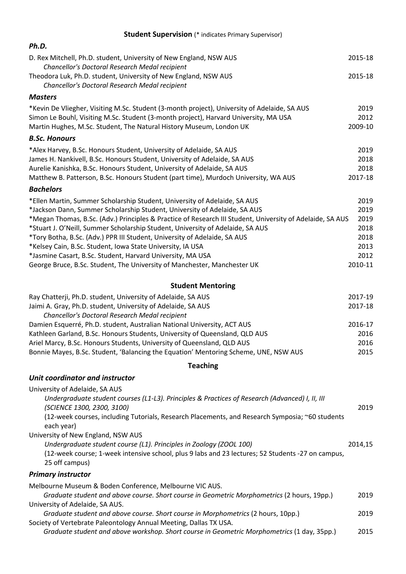## **Student Supervision** (\* indicates Primary Supervisor)

| Ph.D.                                                                                                                                                                                                                                                                                                                                                                                                                                                                                                                                                                                                                                      |                                                                 |
|--------------------------------------------------------------------------------------------------------------------------------------------------------------------------------------------------------------------------------------------------------------------------------------------------------------------------------------------------------------------------------------------------------------------------------------------------------------------------------------------------------------------------------------------------------------------------------------------------------------------------------------------|-----------------------------------------------------------------|
| D. Rex Mitchell, Ph.D. student, University of New England, NSW AUS<br>Chancellor's Doctoral Research Medal recipient                                                                                                                                                                                                                                                                                                                                                                                                                                                                                                                       | 2015-18                                                         |
| Theodora Luk, Ph.D. student, University of New England, NSW AUS<br>Chancellor's Doctoral Research Medal recipient                                                                                                                                                                                                                                                                                                                                                                                                                                                                                                                          | 2015-18                                                         |
| <b>Masters</b>                                                                                                                                                                                                                                                                                                                                                                                                                                                                                                                                                                                                                             |                                                                 |
| *Kevin De Vliegher, Visiting M.Sc. Student (3-month project), University of Adelaide, SA AUS<br>Simon Le Bouhl, Visiting M.Sc. Student (3-month project), Harvard University, MA USA<br>Martin Hughes, M.Sc. Student, The Natural History Museum, London UK                                                                                                                                                                                                                                                                                                                                                                                | 2019<br>2012<br>2009-10                                         |
| <b>B.Sc. Honours</b>                                                                                                                                                                                                                                                                                                                                                                                                                                                                                                                                                                                                                       |                                                                 |
| *Alex Harvey, B.Sc. Honours Student, University of Adelaide, SA AUS<br>James H. Nankivell, B.Sc. Honours Student, University of Adelaide, SA AUS<br>Aurelie Kanishka, B.Sc. Honours Student, University of Adelaide, SA AUS<br>Matthew B. Patterson, B.Sc. Honours Student (part time), Murdoch University, WA AUS                                                                                                                                                                                                                                                                                                                         | 2019<br>2018<br>2018<br>2017-18                                 |
| <b>Bachelors</b>                                                                                                                                                                                                                                                                                                                                                                                                                                                                                                                                                                                                                           |                                                                 |
| *Ellen Martin, Summer Scholarship Student, University of Adelaide, SA AUS<br>*Jackson Dann, Summer Scholarship Student, University of Adelaide, SA AUS<br>*Megan Thomas, B.Sc. (Adv.) Principles & Practice of Research III Student, University of Adelaide, SA AUS<br>*Stuart J. O'Neill, Summer Scholarship Student, University of Adelaide, SA AUS<br>*Tory Botha, B.Sc. (Adv.) PPR III Student, University of Adelaide, SA AUS<br>*Kelsey Cain, B.Sc. Student, Iowa State University, IA USA<br>*Jasmine Casart, B.Sc. Student, Harvard University, MA USA<br>George Bruce, B.Sc. Student, The University of Manchester, Manchester UK | 2019<br>2019<br>2019<br>2018<br>2018<br>2013<br>2012<br>2010-11 |
| <b>Student Mentoring</b>                                                                                                                                                                                                                                                                                                                                                                                                                                                                                                                                                                                                                   |                                                                 |
| Ray Chatterji, Ph.D. student, University of Adelaide, SA AUS<br>Jaimi A. Gray, Ph.D. student, University of Adelaide, SA AUS<br>Chancellor's Doctoral Research Medal recipient<br>Damien Esquerré, Ph.D. student, Australian National University, ACT AUS<br>Kathleen Garland, B.Sc. Honours Students, University of Queensland, QLD AUS<br>Ariel Marcy, B.Sc. Honours Students, University of Queensland, QLD AUS<br>Bonnie Mayes, B.Sc. Student, 'Balancing the Equation' Mentoring Scheme, UNE, NSW AUS                                                                                                                                 | 2017-19<br>2017-18<br>2016-17<br>2016<br>2016<br>2015           |
| <b>Teaching</b>                                                                                                                                                                                                                                                                                                                                                                                                                                                                                                                                                                                                                            |                                                                 |
| Unit coordinator and instructor                                                                                                                                                                                                                                                                                                                                                                                                                                                                                                                                                                                                            |                                                                 |
| University of Adelaide, SA AUS<br>Undergraduate student courses (L1-L3). Principles & Practices of Research (Advanced) I, II, III<br>(SCIENCE 1300, 2300, 3100)<br>(12-week courses, including Tutorials, Research Placements, and Research Symposia; ~60 students<br>each year)<br>University of New England, NSW AUS                                                                                                                                                                                                                                                                                                                     | 2019                                                            |
| Undergraduate student course (L1). Principles in Zoology (ZOOL 100)<br>(12-week course; 1-week intensive school, plus 9 labs and 23 lectures; 52 Students -27 on campus,<br>25 off campus)                                                                                                                                                                                                                                                                                                                                                                                                                                                 | 2014,15                                                         |
| <b>Primary instructor</b>                                                                                                                                                                                                                                                                                                                                                                                                                                                                                                                                                                                                                  |                                                                 |
| Melbourne Museum & Boden Conference, Melbourne VIC AUS.<br>Graduate student and above course. Short course in Geometric Morphometrics (2 hours, 19pp.)<br>University of Adelaide, SA AUS.                                                                                                                                                                                                                                                                                                                                                                                                                                                  | 2019                                                            |
| Graduate student and above course. Short course in Morphometrics (2 hours, 10pp.)<br>Society of Vertebrate Paleontology Annual Meeting, Dallas TX USA.                                                                                                                                                                                                                                                                                                                                                                                                                                                                                     | 2019                                                            |
| Graduate student and above workshop. Short course in Geometric Morphometrics (1 day, 35pp.)                                                                                                                                                                                                                                                                                                                                                                                                                                                                                                                                                | 2015                                                            |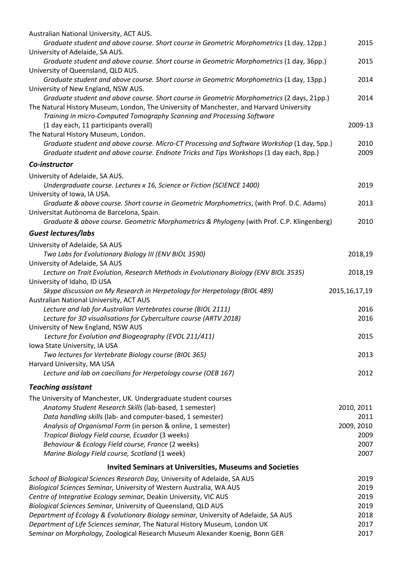| Australian National University, ACT AUS.<br>Graduate student and above course. Short course in Geometric Morphometrics (1 day, 12pp.)                              | 2015             |
|--------------------------------------------------------------------------------------------------------------------------------------------------------------------|------------------|
| University of Adelaide, SA AUS.<br>Graduate student and above course. Short course in Geometric Morphometrics (1 day, 36pp.)                                       | 2015             |
| University of Queensland, QLD AUS.                                                                                                                                 |                  |
| Graduate student and above course. Short course in Geometric Morphometrics (1 day, 13pp.)                                                                          | 2014             |
| University of New England, NSW AUS.                                                                                                                                |                  |
| Graduate student and above course. Short course in Geometric Morphometrics (2 days, 21pp.)                                                                         | 2014             |
| The Natural History Museum, London, The University of Manchester, and Harvard University<br>Training in micro-Computed Tomography Scanning and Processing Software |                  |
| (1 day each, 11 participants overall)                                                                                                                              | 2009-13          |
| The Natural History Museum, London.                                                                                                                                |                  |
| Graduate student and above course. Micro-CT Processing and Software Workshop (1 day, 5pp.)                                                                         | 2010             |
| Graduate student and above course. Endnote Tricks and Tips Workshops (1 day each, 8pp.)                                                                            | 2009             |
| Co-instructor                                                                                                                                                      |                  |
| University of Adelaide, SA AUS.                                                                                                                                    |                  |
| Undergraduate course. Lectures x 16, Science or Fiction (SCIENCE 1400)                                                                                             | 2019             |
| University of Iowa, IA USA.                                                                                                                                        |                  |
| Graduate & above course. Short course in Geometric Morphometrics, (with Prof. D.C. Adams)                                                                          | 2013             |
| Universitat Autònoma de Barcelona, Spain.<br>Graduate & above course. Geometric Morphometrics & Phylogeny (with Prof. C.P. Klingenberg)                            | 2010             |
| Guest lectures/labs                                                                                                                                                |                  |
| University of Adelaide, SA AUS                                                                                                                                     |                  |
| Two Labs for Evolutionary Biology III (ENV BIOL 3590)                                                                                                              | 2018,19          |
| University of Adelaide, SA AUS                                                                                                                                     |                  |
| Lecture on Trait Evolution, Research Methods in Evolutionary Biology (ENV BIOL 3535)                                                                               | 2018,19          |
| University of Idaho, ID USA                                                                                                                                        |                  |
| Skype discussion on My Research in Herpetology for Herpetology (BIOL 489)                                                                                          | 2015, 16, 17, 19 |
| Australian National University, ACT AUS                                                                                                                            | 2016             |
| Lecture and lab for Australian Vertebrates course (BIOL 2111)<br>Lecture for 3D visualisations for Cyberculture course (ARTV 2018)                                 | 2016             |
| University of New England, NSW AUS                                                                                                                                 |                  |
| Lecture for Evolution and Biogeography (EVOL 211/411)                                                                                                              | 2015             |
| Iowa State University, IA USA                                                                                                                                      |                  |
| Two lectures for Vertebrate Biology course (BIOL 365)                                                                                                              | 2013             |
| Harvard University, MA USA                                                                                                                                         |                  |
| Lecture and lab on caecilians for Herpetology course (OEB 167)                                                                                                     | 2012             |
| <b>Teaching assistant</b>                                                                                                                                          |                  |
| The University of Manchester, UK. Undergraduate student courses                                                                                                    |                  |
| Anatomy Student Research Skills (lab-based, 1 semester)                                                                                                            | 2010, 2011       |
| Data handling skills (lab- and computer-based, 1 semester)                                                                                                         | 2011             |
| Analysis of Organismal Form (in person & online, 1 semester)                                                                                                       | 2009, 2010       |
| Tropical Biology Field course, Ecuador (3 weeks)                                                                                                                   | 2009             |
| Behaviour & Ecology Field course, France (2 weeks)                                                                                                                 | 2007             |
| Marine Biology Field course, Scotland (1 week)                                                                                                                     | 2007             |
| <b>Invited Seminars at Universities, Museums and Societies</b>                                                                                                     |                  |
| School of Biological Sciences Research Day, University of Adelaide, SA AUS                                                                                         | 2019             |
| Biological Sciences Seminar, University of Western Australia, WA AUS                                                                                               | 2019             |
| Centre of Integrative Ecology seminar, Deakin University, VIC AUS                                                                                                  | 2019             |
| Biological Sciences Seminar, University of Queensland, QLD AUS                                                                                                     | 2019             |
| Department of Ecology & Evolutionary Biology seminar, University of Adelaide, SA AUS                                                                               | 2018             |
| Department of Life Sciences seminar, The Natural History Museum, London UK                                                                                         | 2017             |
| Seminar on Morphology, Zoological Research Museum Alexander Koenig, Bonn GER                                                                                       | 2017             |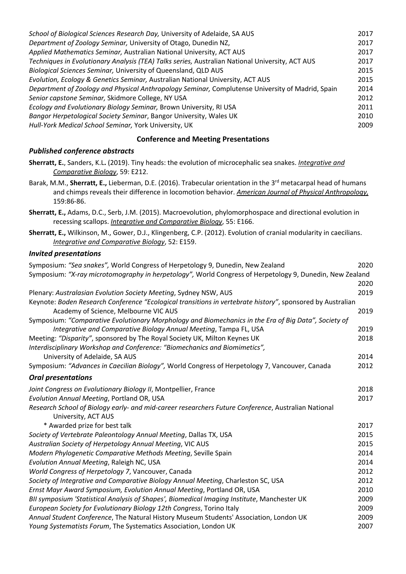| School of Biological Sciences Research Day, University of Adelaide, SA AUS                       | 2017 |
|--------------------------------------------------------------------------------------------------|------|
| Department of Zoology Seminar, University of Otago, Dunedin NZ,                                  | 2017 |
| Applied Mathematics Seminar, Australian National University, ACT AUS                             | 2017 |
| Techniques in Evolutionary Analysis (TEA) Talks series, Australian National University, ACT AUS  | 2017 |
| Biological Sciences Seminar, University of Queensland, QLD AUS                                   | 2015 |
| Evolution, Ecology & Genetics Seminar, Australian National University, ACT AUS                   | 2015 |
| Department of Zoology and Physical Anthropology Seminar, Complutense University of Madrid, Spain | 2014 |
| Senior capstone Seminar, Skidmore College, NY USA                                                | 2012 |
| Ecology and Evolutionary Biology Seminar, Brown University, RI USA                               | 2011 |
| Bangor Herpetological Society Seminar, Bangor University, Wales UK                               | 2010 |
| Hull-York Medical School Seminar, York University, UK                                            | 2009 |

## **Conference and Meeting Presentations**

## *Published conference abstracts*

**Sherratt, E.**, Sanders, K.L**.** (2019). Tiny heads: the evolution of microcephalic sea snakes. *Integrative and Comparative Biology*, 59: E212.

- Barak, M.M., Sherratt, E., Lieberman, D.E. (2016). Trabecular orientation in the 3<sup>rd</sup> metacarpal head of humans and chimps reveals their difference in locomotion behavior. *American Journal of Physical Anthropology,* 159:86-86.
- **Sherratt, E.,** Adams, D.C., Serb, J.M. (2015). Macroevolution, phylomorphospace and directional evolution in recessing scallops. *Integrative and Comparative Biology*, 55: E166.
- **Sherratt, E.,** Wilkinson, M., Gower, D.J., Klingenberg, C.P. (2012). Evolution of cranial modularity in caecilians. *Integrative and Comparative Biology*, 52: E159.

## *Invited presentations*

| Symposium: "Sea snakes", World Congress of Herpetology 9, Dunedin, New Zealand                             | 2020 |
|------------------------------------------------------------------------------------------------------------|------|
| Symposium: "X-ray microtomography in herpetology", World Congress of Herpetology 9, Dunedin, New Zealand   |      |
|                                                                                                            | 2020 |
| Plenary: Australasian Evolution Society Meeting, Sydney NSW, AUS                                           | 2019 |
| Keynote: Boden Research Conference "Ecological transitions in vertebrate history", sponsored by Australian |      |
| Academy of Science, Melbourne VIC AUS                                                                      | 2019 |
| Symposium: "Comparative Evolutionary Morphology and Biomechanics in the Era of Big Data", Society of       |      |
| Integrative and Comparative Biology Annual Meeting, Tampa FL, USA                                          | 2019 |
| Meeting: "Disparity", sponsored by The Royal Society UK, Milton Keynes UK                                  | 2018 |
| Interdisciplinary Workshop and Conference: "Biomechanics and Biomimetics",                                 |      |
| University of Adelaide, SA AUS                                                                             | 2014 |
| Symposium: "Advances in Caecilian Biology", World Congress of Herpetology 7, Vancouver, Canada             | 2012 |
| <b>Oral presentations</b>                                                                                  |      |
| Joint Congress on Evolutionary Biology II, Montpellier, France                                             | 2018 |
| Evolution Annual Meeting, Portland OR, USA                                                                 | 2017 |
| Research School of Biology early- and mid-career researchers Future Conference, Australian National        |      |
| University, ACT AUS<br>* Awarded prize for best talk                                                       | 2017 |
|                                                                                                            | 2015 |
| Society of Vertebrate Paleontology Annual Meeting, Dallas TX, USA                                          | 2015 |
| Australian Society of Herpetology Annual Meeting, VIC AUS                                                  |      |
| Modern Phylogenetic Comparative Methods Meeting, Seville Spain                                             | 2014 |
| Evolution Annual Meeting, Raleigh NC, USA                                                                  | 2014 |
| World Congress of Herpetology 7, Vancouver, Canada                                                         | 2012 |
| Society of Integrative and Comparative Biology Annual Meeting, Charleston SC, USA                          | 2012 |
| Ernst Mayr Award Symposium, Evolution Annual Meeting, Portland OR, USA                                     | 2010 |
| BII symposium 'Statistical Analysis of Shapes', Biomedical Imaging Institute, Manchester UK                | 2009 |
| European Society for Evolutionary Biology 12th Congress, Torino Italy                                      | 2009 |
| Annual Student Conference, The Natural History Museum Students' Association, London UK                     | 2009 |
| Young Systematists Forum, The Systematics Association, London UK                                           | 2007 |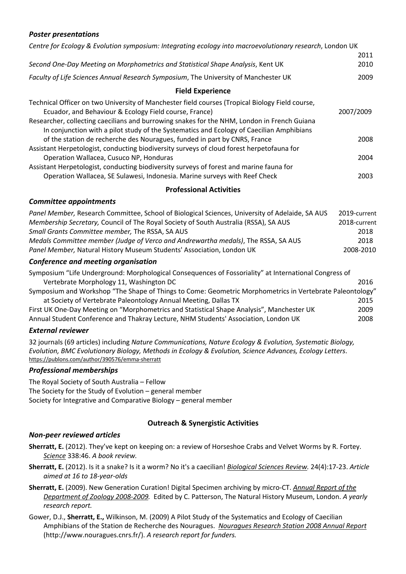## *Poster presentations*

| Centre for Ecology & Evolution symposium: Integrating ecology into macroevolutionary research, London UK                                                                                                                                                                                                                                                                                                 |                                                           |
|----------------------------------------------------------------------------------------------------------------------------------------------------------------------------------------------------------------------------------------------------------------------------------------------------------------------------------------------------------------------------------------------------------|-----------------------------------------------------------|
|                                                                                                                                                                                                                                                                                                                                                                                                          | 2011                                                      |
| Second One-Day Meeting on Morphometrics and Statistical Shape Analysis, Kent UK                                                                                                                                                                                                                                                                                                                          | 2010                                                      |
| Faculty of Life Sciences Annual Research Symposium, The University of Manchester UK                                                                                                                                                                                                                                                                                                                      | 2009                                                      |
| <b>Field Experience</b>                                                                                                                                                                                                                                                                                                                                                                                  |                                                           |
| Technical Officer on two University of Manchester field courses (Tropical Biology Field course,<br>Ecuador, and Behaviour & Ecology Field course, France)<br>Researcher, collecting caecilians and burrowing snakes for the NHM, London in French Guiana<br>In conjunction with a pilot study of the Systematics and Ecology of Caecilian Amphibians                                                     | 2007/2009                                                 |
| of the station de recherche des Nouragues, funded in part by CNRS, France<br>Assistant Herpetologist, conducting biodiversity surveys of cloud forest herpetofauna for                                                                                                                                                                                                                                   | 2008                                                      |
| Operation Wallacea, Cusuco NP, Honduras                                                                                                                                                                                                                                                                                                                                                                  | 2004                                                      |
| Assistant Herpetologist, conducting biodiversity surveys of forest and marine fauna for<br>Operation Wallacea, SE Sulawesi, Indonesia. Marine surveys with Reef Check                                                                                                                                                                                                                                    | 2003                                                      |
| <b>Professional Activities</b>                                                                                                                                                                                                                                                                                                                                                                           |                                                           |
| <b>Committee appointments</b>                                                                                                                                                                                                                                                                                                                                                                            |                                                           |
| Panel Member, Research Committee, School of Biological Sciences, University of Adelaide, SA AUS<br>Membership Secretary, Council of The Royal Society of South Australia (RSSA), SA AUS<br>Small Grants Committee member, The RSSA, SA AUS<br>Medals Committee member (Judge of Verco and Andrewartha medals), The RSSA, SA AUS<br>Panel Member, Natural History Museum Students' Association, London UK | 2019-current<br>2018-current<br>2018<br>2018<br>2008-2010 |
| Conference and meeting organisation                                                                                                                                                                                                                                                                                                                                                                      |                                                           |
| Symposium "Life Underground: Morphological Consequences of Fossoriality" at International Congress of<br>Vertebrate Morphology 11, Washington DC                                                                                                                                                                                                                                                         | 2016                                                      |
| Symposium and Workshop "The Shape of Things to Come: Geometric Morphometrics in Vertebrate Paleontology"<br>at Society of Vertebrate Paleontology Annual Meeting, Dallas TX                                                                                                                                                                                                                              | 2015                                                      |
| First UK One-Day Meeting on "Morphometrics and Statistical Shape Analysis", Manchester UK                                                                                                                                                                                                                                                                                                                | 2009                                                      |
| Annual Student Conference and Thakray Lecture, NHM Students' Association, London UK                                                                                                                                                                                                                                                                                                                      | 2008                                                      |

### *External reviewer*

32 journals (69 articles) including *Nature Communications, Nature Ecology & Evolution, Systematic Biology, Evolution, BMC Evolutionary Biology, Methods in Ecology & Evolution, Science Advances, Ecology Letters*. https://publons.com/author/390576/emma-sherratt

### *Professional memberships*

The Royal Society of South Australia – Fellow The Society for the Study of Evolution – general member Society for Integrative and Comparative Biology – general member

### **Outreach & Synergistic Activities**

### *Non-peer reviewed articles*

**Sherratt, E.** (2012). They've kept on keeping on: a review of Horseshoe Crabs and Velvet Worms by R. Fortey. *Science* 338:46. *A book review.*

**Sherratt, E.** (2012). Is it a snake? Is it a worm? No it's a caecilian! *Biological Sciences Review.* 24(4):17-23. *Article aimed at 16 to 18-year-olds*

- **Sherratt, E.** (2009). New Generation Curation! Digital Specimen archiving by micro-CT. *Annual Report of the Department of Zoology 2008-2009.* Edited by C. Patterson, The Natural History Museum, London. *A yearly research report.*
- Gower, D.J., **Sherratt, E.,** Wilkinson, M. (2009) A Pilot Study of the Systematics and Ecology of Caecilian Amphibians of the Station de Recherche des Nouragues. *Nouragues Research Station 2008 Annual Report* (http://www.nouragues.cnrs.fr/). *A research report for funders.*